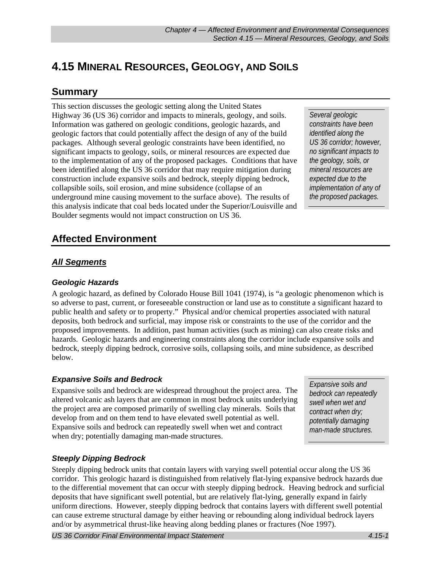# **4.15 MINERAL RESOURCES, GEOLOGY, AND SOILS**

# **Summary**

This section discusses the geologic setting along the United States Highway 36 (US 36) corridor and impacts to minerals, geology, and soils. Information was gathered on geologic conditions, geologic hazards, and geologic factors that could potentially affect the design of any of the build packages. Although several geologic constraints have been identified, no significant impacts to geology, soils, or mineral resources are expected due to the implementation of any of the proposed packages. Conditions that have been identified along the US 36 corridor that may require mitigation during construction include expansive soils and bedrock, steeply dipping bedrock, collapsible soils, soil erosion, and mine subsidence (collapse of an underground mine causing movement to the surface above). The results of this analysis indicate that coal beds located under the Superior/Louisville and Boulder segments would not impact construction on US 36.

*Several geologic constraints have been identified along the US 36 corridor; however, no significant impacts to the geology, soils, or mineral resources are expected due to the implementation of any of the proposed packages.* 

# **Affected Environment**

# *All Segments*

# *Geologic Hazards*

A geologic hazard, as defined by Colorado House Bill 1041 (1974), is "a geologic phenomenon which is so adverse to past, current, or foreseeable construction or land use as to constitute a significant hazard to public health and safety or to property." Physical and/or chemical properties associated with natural deposits, both bedrock and surficial, may impose risk or constraints to the use of the corridor and the proposed improvements. In addition, past human activities (such as mining) can also create risks and hazards. Geologic hazards and engineering constraints along the corridor include expansive soils and bedrock, steeply dipping bedrock, corrosive soils, collapsing soils, and mine subsidence, as described below.

# *Expansive Soils and Bedrock*

Expansive soils and bedrock are widespread throughout the project area. The altered volcanic ash layers that are common in most bedrock units underlying the project area are composed primarily of swelling clay minerals. Soils that develop from and on them tend to have elevated swell potential as well. Expansive soils and bedrock can repeatedly swell when wet and contract when dry; potentially damaging man-made structures.

*Expansive soils and bedrock can repeatedly swell when wet and contract when dry; potentially damaging man-made structures.* 

# *Steeply Dipping Bedrock*

Steeply dipping bedrock units that contain layers with varying swell potential occur along the US 36 corridor. This geologic hazard is distinguished from relatively flat-lying expansive bedrock hazards due to the differential movement that can occur with steeply dipping bedrock. Heaving bedrock and surficial deposits that have significant swell potential, but are relatively flat-lying, generally expand in fairly uniform directions. However, steeply dipping bedrock that contains layers with different swell potential can cause extreme structural damage by either heaving or rebounding along individual bedrock layers and/or by asymmetrical thrust-like heaving along bedding planes or fractures (Noe 1997).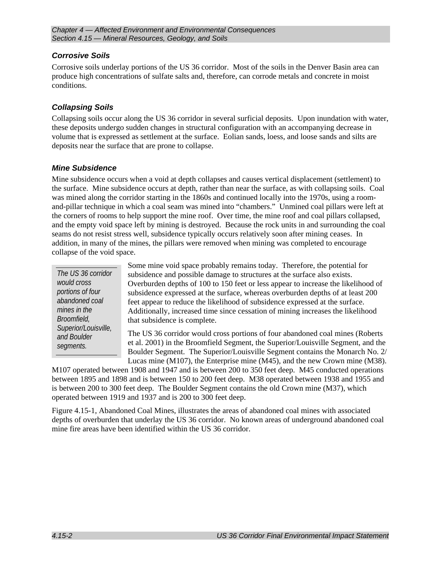# *Corrosive Soils*

Corrosive soils underlay portions of the US 36 corridor. Most of the soils in the Denver Basin area can produce high concentrations of sulfate salts and, therefore, can corrode metals and concrete in moist conditions.

# *Collapsing Soils*

Collapsing soils occur along the US 36 corridor in several surficial deposits. Upon inundation with water, these deposits undergo sudden changes in structural configuration with an accompanying decrease in volume that is expressed as settlement at the surface. Eolian sands, loess, and loose sands and silts are deposits near the surface that are prone to collapse.

### *Mine Subsidence*

Mine subsidence occurs when a void at depth collapses and causes vertical displacement (settlement) to the surface. Mine subsidence occurs at depth, rather than near the surface, as with collapsing soils. Coal was mined along the corridor starting in the 1860s and continued locally into the 1970s, using a roomand-pillar technique in which a coal seam was mined into "chambers." Unmined coal pillars were left at the corners of rooms to help support the mine roof. Over time, the mine roof and coal pillars collapsed, and the empty void space left by mining is destroyed. Because the rock units in and surrounding the coal seams do not resist stress well, subsidence typically occurs relatively soon after mining ceases. In addition, in many of the mines, the pillars were removed when mining was completed to encourage collapse of the void space.

*The US 36 corridor would cross portions of four abandoned coal mines in the Broomfield, Superior/Louisville, and Boulder segments.* 

Some mine void space probably remains today. Therefore, the potential for subsidence and possible damage to structures at the surface also exists. Overburden depths of 100 to 150 feet or less appear to increase the likelihood of subsidence expressed at the surface, whereas overburden depths of at least 200 feet appear to reduce the likelihood of subsidence expressed at the surface. Additionally, increased time since cessation of mining increases the likelihood that subsidence is complete.

The US 36 corridor would cross portions of four abandoned coal mines (Roberts et al. 2001) in the Broomfield Segment, the Superior/Louisville Segment, and the Boulder Segment. The Superior/Louisville Segment contains the Monarch No. 2/ Lucas mine (M107), the Enterprise mine (M45), and the new Crown mine (M38).

M107 operated between 1908 and 1947 and is between 200 to 350 feet deep. M45 conducted operations between 1895 and 1898 and is between 150 to 200 feet deep. M38 operated between 1938 and 1955 and is between 200 to 300 feet deep. The Boulder Segment contains the old Crown mine (M37), which operated between 1919 and 1937 and is 200 to 300 feet deep.

Figure 4.15-1, Abandoned Coal Mines, illustrates the areas of abandoned coal mines with associated depths of overburden that underlay the US 36 corridor. No known areas of underground abandoned coal mine fire areas have been identified within the US 36 corridor.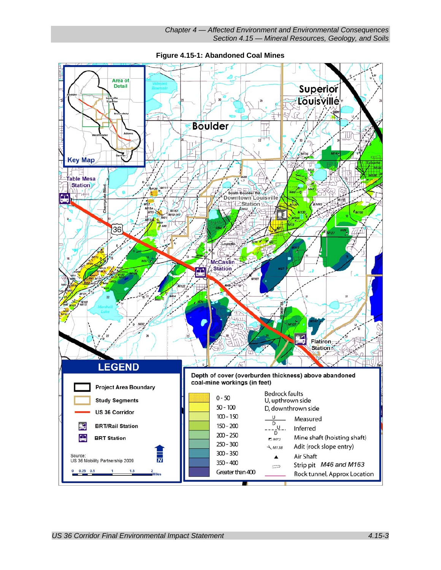

**Figure 4.15-1: Abandoned Coal Mines**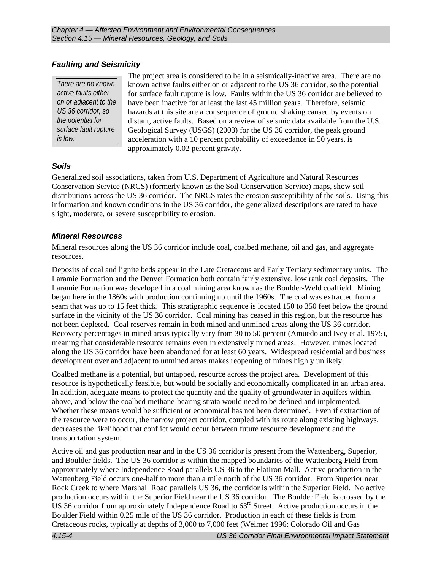# *Faulting and Seismicity*

*There are no known active faults either on or adjacent to the US 36 corridor, so the potential for surface fault rupture is low.* 

The project area is considered to be in a seismically-inactive area. There are no known active faults either on or adjacent to the US 36 corridor, so the potential for surface fault rupture is low. Faults within the US 36 corridor are believed to have been inactive for at least the last 45 million years. Therefore, seismic hazards at this site are a consequence of ground shaking caused by events on distant, active faults. Based on a review of seismic data available from the U.S. Geological Survey (USGS) (2003) for the US 36 corridor, the peak ground acceleration with a 10 percent probability of exceedance in 50 years, is approximately 0.02 percent gravity.

# *Soils*

Generalized soil associations, taken from U.S. Department of Agriculture and Natural Resources Conservation Service (NRCS) (formerly known as the Soil Conservation Service) maps, show soil distributions across the US 36 corridor. The NRCS rates the erosion susceptibility of the soils. Using this information and known conditions in the US 36 corridor, the generalized descriptions are rated to have slight, moderate, or severe susceptibility to erosion.

### *Mineral Resources*

Mineral resources along the US 36 corridor include coal, coalbed methane, oil and gas, and aggregate resources.

Deposits of coal and lignite beds appear in the Late Cretaceous and Early Tertiary sedimentary units. The Laramie Formation and the Denver Formation both contain fairly extensive, low rank coal deposits. The Laramie Formation was developed in a coal mining area known as the Boulder-Weld coalfield. Mining began here in the 1860s with production continuing up until the 1960s. The coal was extracted from a seam that was up to 15 feet thick. This stratigraphic sequence is located 150 to 350 feet below the ground surface in the vicinity of the US 36 corridor. Coal mining has ceased in this region, but the resource has not been depleted. Coal reserves remain in both mined and unmined areas along the US 36 corridor. Recovery percentages in mined areas typically vary from 30 to 50 percent (Amuedo and Ivey et al. 1975), meaning that considerable resource remains even in extensively mined areas. However, mines located along the US 36 corridor have been abandoned for at least 60 years. Widespread residential and business development over and adjacent to unmined areas makes reopening of mines highly unlikely.

Coalbed methane is a potential, but untapped, resource across the project area. Development of this resource is hypothetically feasible, but would be socially and economically complicated in an urban area. In addition, adequate means to protect the quantity and the quality of groundwater in aquifers within, above, and below the coalbed methane-bearing strata would need to be defined and implemented. Whether these means would be sufficient or economical has not been determined. Even if extraction of the resource were to occur, the narrow project corridor, coupled with its route along existing highways, decreases the likelihood that conflict would occur between future resource development and the transportation system.

Active oil and gas production near and in the US 36 corridor is present from the Wattenberg, Superior, and Boulder fields. The US 36 corridor is within the mapped boundaries of the Wattenberg Field from approximately where Independence Road parallels US 36 to the FlatIron Mall. Active production in the Wattenberg Field occurs one-half to more than a mile north of the US 36 corridor. From Superior near Rock Creek to where Marshall Road parallels US 36, the corridor is within the Superior Field. No active production occurs within the Superior Field near the US 36 corridor. The Boulder Field is crossed by the US 36 corridor from approximately Independence Road to  $63<sup>rd</sup>$  Street. Active production occurs in the Boulder Field within 0.25 mile of the US 36 corridor. Production in each of these fields is from Cretaceous rocks, typically at depths of 3,000 to 7,000 feet (Weimer 1996; Colorado Oil and Gas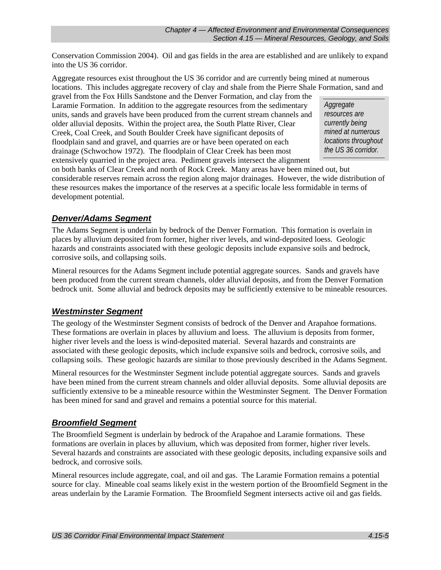Conservation Commission 2004). Oil and gas fields in the area are established and are unlikely to expand into the US 36 corridor.

Aggregate resources exist throughout the US 36 corridor and are currently being mined at numerous locations. This includes aggregate recovery of clay and shale from the Pierre Shale Formation, sand and

gravel from the Fox Hills Sandstone and the Denver Formation, and clay from the Laramie Formation. In addition to the aggregate resources from the sedimentary units, sands and gravels have been produced from the current stream channels and older alluvial deposits. Within the project area, the South Platte River, Clear Creek, Coal Creek, and South Boulder Creek have significant deposits of floodplain sand and gravel, and quarries are or have been operated on each drainage (Schwochow 1972). The floodplain of Clear Creek has been most extensively quarried in the project area. Pediment gravels intersect the alignment

*Aggregate resources are currently being mined at numerous locations throughout the US 36 corridor.* 

on both banks of Clear Creek and north of Rock Creek. Many areas have been mined out, but considerable reserves remain across the region along major drainages. However, the wide distribution of these resources makes the importance of the reserves at a specific locale less formidable in terms of development potential.

# *Denver/Adams Segment*

The Adams Segment is underlain by bedrock of the Denver Formation. This formation is overlain in places by alluvium deposited from former, higher river levels, and wind-deposited loess. Geologic hazards and constraints associated with these geologic deposits include expansive soils and bedrock, corrosive soils, and collapsing soils.

Mineral resources for the Adams Segment include potential aggregate sources. Sands and gravels have been produced from the current stream channels, older alluvial deposits, and from the Denver Formation bedrock unit. Some alluvial and bedrock deposits may be sufficiently extensive to be mineable resources.

# *Westminster Segment*

The geology of the Westminster Segment consists of bedrock of the Denver and Arapahoe formations. These formations are overlain in places by alluvium and loess. The alluvium is deposits from former, higher river levels and the loess is wind-deposited material. Several hazards and constraints are associated with these geologic deposits, which include expansive soils and bedrock, corrosive soils, and collapsing soils. These geologic hazards are similar to those previously described in the Adams Segment.

Mineral resources for the Westminster Segment include potential aggregate sources. Sands and gravels have been mined from the current stream channels and older alluvial deposits. Some alluvial deposits are sufficiently extensive to be a mineable resource within the Westminster Segment. The Denver Formation has been mined for sand and gravel and remains a potential source for this material.

# *Broomfield Segment*

The Broomfield Segment is underlain by bedrock of the Arapahoe and Laramie formations. These formations are overlain in places by alluvium, which was deposited from former, higher river levels. Several hazards and constraints are associated with these geologic deposits, including expansive soils and bedrock, and corrosive soils.

Mineral resources include aggregate, coal, and oil and gas. The Laramie Formation remains a potential source for clay. Mineable coal seams likely exist in the western portion of the Broomfield Segment in the areas underlain by the Laramie Formation. The Broomfield Segment intersects active oil and gas fields.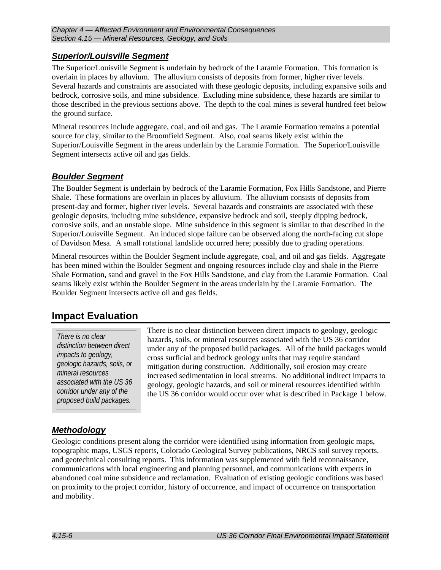# *Superior/Louisville Segment*

The Superior/Louisville Segment is underlain by bedrock of the Laramie Formation. This formation is overlain in places by alluvium. The alluvium consists of deposits from former, higher river levels. Several hazards and constraints are associated with these geologic deposits, including expansive soils and bedrock, corrosive soils, and mine subsidence. Excluding mine subsidence, these hazards are similar to those described in the previous sections above. The depth to the coal mines is several hundred feet below the ground surface.

Mineral resources include aggregate, coal, and oil and gas. The Laramie Formation remains a potential source for clay, similar to the Broomfield Segment. Also, coal seams likely exist within the Superior/Louisville Segment in the areas underlain by the Laramie Formation. The Superior/Louisville Segment intersects active oil and gas fields.

# *Boulder Segment*

The Boulder Segment is underlain by bedrock of the Laramie Formation, Fox Hills Sandstone, and Pierre Shale. These formations are overlain in places by alluvium. The alluvium consists of deposits from present-day and former, higher river levels. Several hazards and constraints are associated with these geologic deposits, including mine subsidence, expansive bedrock and soil, steeply dipping bedrock, corrosive soils, and an unstable slope. Mine subsidence in this segment is similar to that described in the Superior/Louisville Segment. An induced slope failure can be observed along the north-facing cut slope of Davidson Mesa. A small rotational landslide occurred here; possibly due to grading operations.

Mineral resources within the Boulder Segment include aggregate, coal, and oil and gas fields. Aggregate has been mined within the Boulder Segment and ongoing resources include clay and shale in the Pierre Shale Formation, sand and gravel in the Fox Hills Sandstone, and clay from the Laramie Formation. Coal seams likely exist within the Boulder Segment in the areas underlain by the Laramie Formation. The Boulder Segment intersects active oil and gas fields.

# **Impact Evaluation**

*There is no clear distinction between direct impacts to geology, geologic hazards, soils, or mineral resources associated with the US 36 corridor under any of the proposed build packages.* 

There is no clear distinction between direct impacts to geology, geologic hazards, soils, or mineral resources associated with the US 36 corridor under any of the proposed build packages. All of the build packages would cross surficial and bedrock geology units that may require standard mitigation during construction. Additionally, soil erosion may create increased sedimentation in local streams. No additional indirect impacts to geology, geologic hazards, and soil or mineral resources identified within the US 36 corridor would occur over what is described in Package 1 below.

# *Methodology*

Geologic conditions present along the corridor were identified using information from geologic maps, topographic maps, USGS reports, Colorado Geological Survey publications, NRCS soil survey reports, and geotechnical consulting reports. This information was supplemented with field reconnaissance, communications with local engineering and planning personnel, and communications with experts in abandoned coal mine subsidence and reclamation. Evaluation of existing geologic conditions was based on proximity to the project corridor, history of occurrence, and impact of occurrence on transportation and mobility.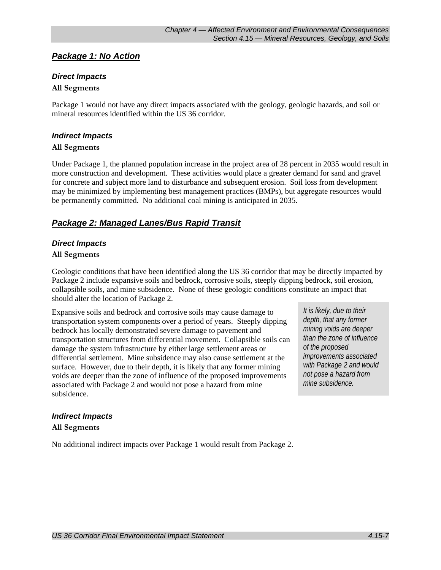# *Package 1: No Action*

### *Direct Impacts*

#### **All Segments**

Package 1 would not have any direct impacts associated with the geology, geologic hazards, and soil or mineral resources identified within the US 36 corridor.

#### *Indirect Impacts*

#### **All Segments**

Under Package 1, the planned population increase in the project area of 28 percent in 2035 would result in more construction and development. These activities would place a greater demand for sand and gravel for concrete and subject more land to disturbance and subsequent erosion. Soil loss from development may be minimized by implementing best management practices (BMPs), but aggregate resources would be permanently committed. No additional coal mining is anticipated in 2035.

# *Package 2: Managed Lanes/Bus Rapid Transit*

### *Direct Impacts*

#### **All Segments**

Geologic conditions that have been identified along the US 36 corridor that may be directly impacted by Package 2 include expansive soils and bedrock, corrosive soils, steeply dipping bedrock, soil erosion, collapsible soils, and mine subsidence. None of these geologic conditions constitute an impact that should alter the location of Package 2.

Expansive soils and bedrock and corrosive soils may cause damage to transportation system components over a period of years. Steeply dipping bedrock has locally demonstrated severe damage to pavement and transportation structures from differential movement. Collapsible soils can damage the system infrastructure by either large settlement areas or differential settlement. Mine subsidence may also cause settlement at the surface. However, due to their depth, it is likely that any former mining voids are deeper than the zone of influence of the proposed improvements associated with Package 2 and would not pose a hazard from mine subsidence.

*It is likely, due to their depth, that any former mining voids are deeper than the zone of influence of the proposed improvements associated with Package 2 and would not pose a hazard from mine subsidence.* 

### *Indirect Impacts*

### **All Segments**

No additional indirect impacts over Package 1 would result from Package 2.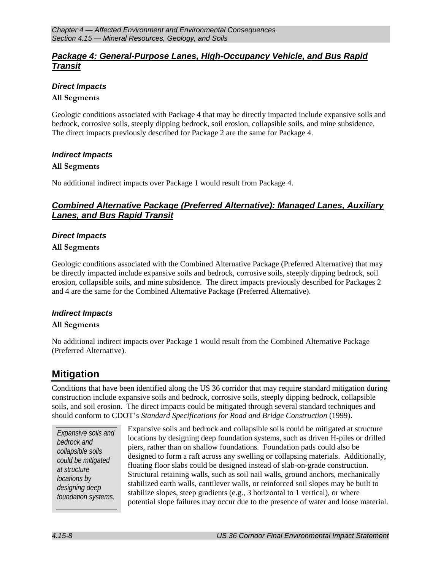# *Package 4: General-Purpose Lanes, High-Occupancy Vehicle, and Bus Rapid Transit*

### *Direct Impacts*

#### **All Segments**

Geologic conditions associated with Package 4 that may be directly impacted include expansive soils and bedrock, corrosive soils, steeply dipping bedrock, soil erosion, collapsible soils, and mine subsidence. The direct impacts previously described for Package 2 are the same for Package 4.

#### *Indirect Impacts*

#### **All Segments**

No additional indirect impacts over Package 1 would result from Package 4.

# *Combined Alternative Package (Preferred Alternative): Managed Lanes, Auxiliary Lanes, and Bus Rapid Transit*

#### *Direct Impacts*

#### **All Segments**

Geologic conditions associated with the Combined Alternative Package (Preferred Alternative) that may be directly impacted include expansive soils and bedrock, corrosive soils, steeply dipping bedrock, soil erosion, collapsible soils, and mine subsidence. The direct impacts previously described for Packages 2 and 4 are the same for the Combined Alternative Package (Preferred Alternative).

### *Indirect Impacts*

#### **All Segments**

No additional indirect impacts over Package 1 would result from the Combined Alternative Package (Preferred Alternative).

# **Mitigation**

Conditions that have been identified along the US 36 corridor that may require standard mitigation during construction include expansive soils and bedrock, corrosive soils, steeply dipping bedrock, collapsible soils, and soil erosion. The direct impacts could be mitigated through several standard techniques and should conform to CDOT's *Standard Specifications for Road and Bridge Construction* (1999).

*Expansive soils and bedrock and collapsible soils could be mitigated at structure locations by designing deep foundation systems.* 

Expansive soils and bedrock and collapsible soils could be mitigated at structure locations by designing deep foundation systems, such as driven H-piles or drilled piers, rather than on shallow foundations. Foundation pads could also be designed to form a raft across any swelling or collapsing materials. Additionally, floating floor slabs could be designed instead of slab-on-grade construction. Structural retaining walls, such as soil nail walls, ground anchors, mechanically stabilized earth walls, cantilever walls, or reinforced soil slopes may be built to stabilize slopes, steep gradients (e.g., 3 horizontal to 1 vertical), or where potential slope failures may occur due to the presence of water and loose material.